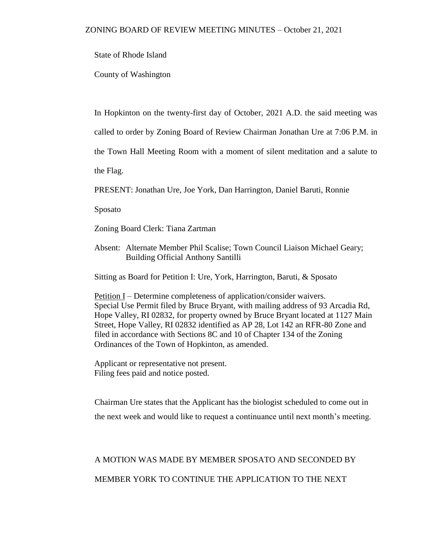State of Rhode Island

County of Washington

In Hopkinton on the twenty-first day of October, 2021 A.D. the said meeting was

called to order by Zoning Board of Review Chairman Jonathan Ure at 7:06 P.M. in

the Town Hall Meeting Room with a moment of silent meditation and a salute to

the Flag.

PRESENT: Jonathan Ure, Joe York, Dan Harrington, Daniel Baruti, Ronnie

Sposato

Zoning Board Clerk: Tiana Zartman

Absent: Alternate Member Phil Scalise; Town Council Liaison Michael Geary; Building Official Anthony Santilli

Sitting as Board for Petition I: Ure, York, Harrington, Baruti, & Sposato

Petition I – Determine completeness of application/consider waivers. Special Use Permit filed by Bruce Bryant, with mailing address of 93 Arcadia Rd, Hope Valley, RI 02832, for property owned by Bruce Bryant located at 1127 Main Street, Hope Valley, RI 02832 identified as AP 28, Lot 142 an RFR-80 Zone and filed in accordance with Sections 8C and 10 of Chapter 134 of the Zoning Ordinances of the Town of Hopkinton, as amended.

Applicant or representative not present. Filing fees paid and notice posted.

Chairman Ure states that the Applicant has the biologist scheduled to come out in the next week and would like to request a continuance until next month's meeting.

## A MOTION WAS MADE BY MEMBER SPOSATO AND SECONDED BY MEMBER YORK TO CONTINUE THE APPLICATION TO THE NEXT